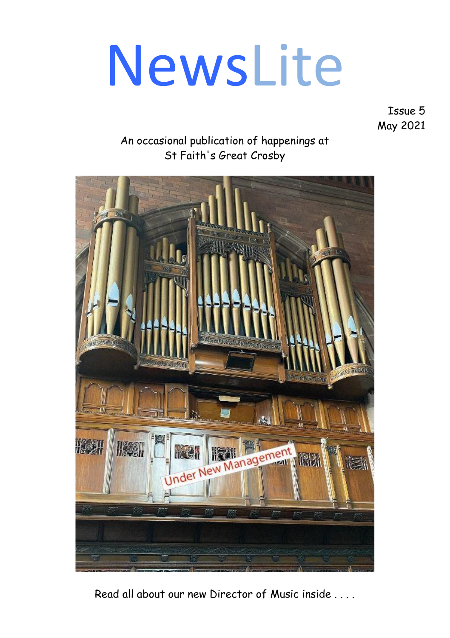# NewsLite

Issue 5 May 2021

#### An occasional publication of happenings at St Faith's Great Crosby



Read all about our new Director of Music inside . . . .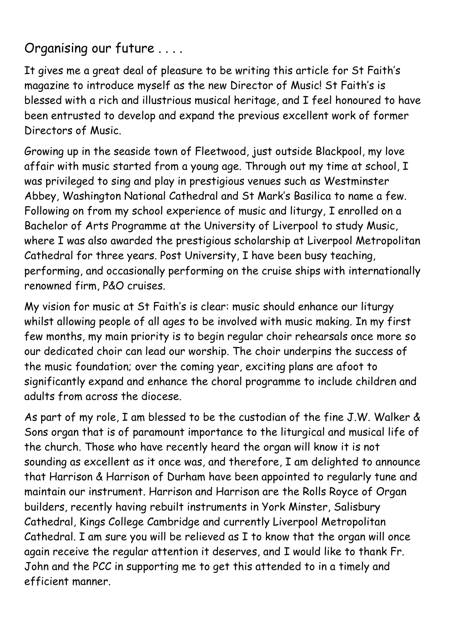# Organising our future . . . .

It gives me a great deal of pleasure to be writing this article for St Faith's magazine to introduce myself as the new Director of Music! St Faith's is blessed with a rich and illustrious musical heritage, and I feel honoured to have been entrusted to develop and expand the previous excellent work of former Directors of Music.

Growing up in the seaside town of Fleetwood, just outside Blackpool, my love affair with music started from a young age. Through out my time at school, I was privileged to sing and play in prestigious venues such as Westminster Abbey, Washington National Cathedral and St Mark's Basilica to name a few. Following on from my school experience of music and liturgy, I enrolled on a Bachelor of Arts Programme at the University of Liverpool to study Music, where I was also awarded the prestigious scholarship at Liverpool Metropolitan Cathedral for three years. Post University, I have been busy teaching, performing, and occasionally performing on the cruise ships with internationally renowned firm, P&O cruises.

My vision for music at St Faith's is clear: music should enhance our liturgy whilst allowing people of all ages to be involved with music making. In my first few months, my main priority is to begin regular choir rehearsals once more so our dedicated choir can lead our worship. The choir underpins the success of the music foundation; over the coming year, exciting plans are afoot to significantly expand and enhance the choral programme to include children and adults from across the diocese.

As part of my role, I am blessed to be the custodian of the fine J.W. Walker & Sons organ that is of paramount importance to the liturgical and musical life of the church. Those who have recently heard the organ will know it is not sounding as excellent as it once was, and therefore, I am delighted to announce that Harrison & Harrison of Durham have been appointed to regularly tune and maintain our instrument. Harrison and Harrison are the Rolls Royce of Organ builders, recently having rebuilt instruments in York Minster, Salisbury Cathedral, Kings College Cambridge and currently Liverpool Metropolitan Cathedral. I am sure you will be relieved as I to know that the organ will once again receive the regular attention it deserves, and I would like to thank Fr. John and the PCC in supporting me to get this attended to in a timely and efficient manner.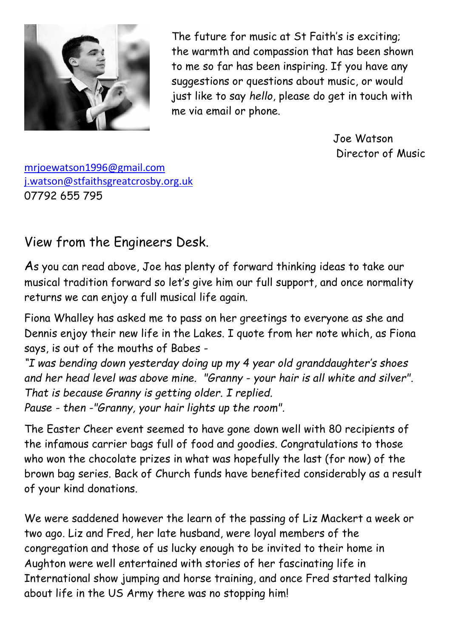

The future for music at St Faith's is exciting; the warmth and compassion that has been shown to me so far has been inspiring. If you have any suggestions or questions about music, or would just like to say *hello*, please do get in touch with me via email or phone.

> Joe Watson Director of Music

[mrjoewatson1996@gmail.com](mailto:mrjoewatson1996@gmail.com)  [j.watson@stfaithsgreatcrosby.org.uk](mailto:j.watson@stfaithsgreatcrosby.org.uk) 07792 655 795

## View from the Engineers Desk.

As you can read above, Joe has plenty of forward thinking ideas to take our musical tradition forward so let's give him our full support, and once normality returns we can enjoy a full musical life again.

Fiona Whalley has asked me to pass on her greetings to everyone as she and Dennis enjoy their new life in the Lakes. I quote from her note which, as Fiona says, is out of the mouths of Babes -

*"I was bending down yesterday doing up my 4 year old granddaughter's shoes and her head level was above mine. "Granny - your hair is all white and silver". That is because Granny is getting older. I replied. Pause - then -"Granny, your hair lights up the room".*

The Easter Cheer event seemed to have gone down well with 80 recipients of the infamous carrier bags full of food and goodies. Congratulations to those who won the chocolate prizes in what was hopefully the last (for now) of the brown bag series. Back of Church funds have benefited considerably as a result of your kind donations.

We were saddened however the learn of the passing of Liz Mackert a week or two ago. Liz and Fred, her late husband, were loyal members of the congregation and those of us lucky enough to be invited to their home in Aughton were well entertained with stories of her fascinating life in International show jumping and horse training, and once Fred started talking about life in the US Army there was no stopping him!